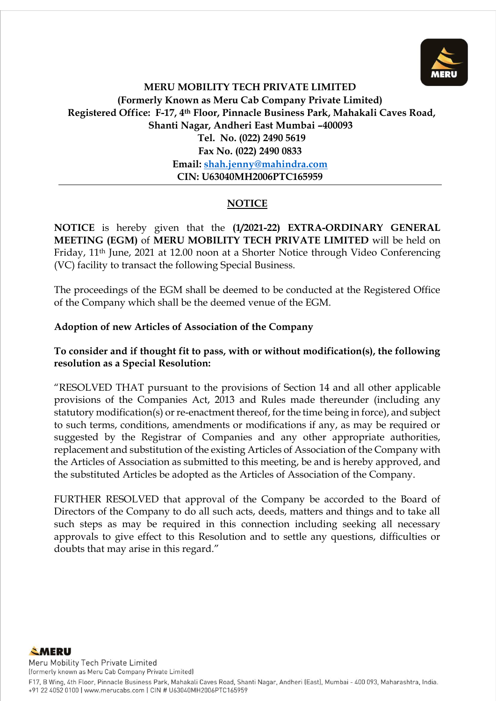

# **NOTICE**

**NOTICE** is hereby given that the **(1/2021-22) EXTRA-ORDINARY GENERAL MEETING (EGM)** of **MERU MOBILITY TECH PRIVATE LIMITED** will be held on Friday, 11th June, 2021 at 12.00 noon at a Shorter Notice through Video Conferencing (VC) facility to transact the following Special Business.

The proceedings of the EGM shall be deemed to be conducted at the Registered Office of the Company which shall be the deemed venue of the EGM.

# **Adoption of new Articles of Association of the Company**

#### **To consider and if thought fit to pass, with or without modification(s), the following resolution as a Special Resolution:**

"RESOLVED THAT pursuant to the provisions of Section 14 and all other applicable provisions of the Companies Act, 2013 and Rules made thereunder (including any statutory modification(s) or re-enactment thereof, for the time being in force), and subject to such terms, conditions, amendments or modifications if any, as may be required or suggested by the Registrar of Companies and any other appropriate authorities, replacement and substitution of the existing Articles of Association of the Company with the Articles of Association as submitted to this meeting, be and is hereby approved, and the substituted Articles be adopted as the Articles of Association of the Company.

FURTHER RESOLVED that approval of the Company be accorded to the Board of Directors of the Company to do all such acts, deeds, matters and things and to take all such steps as may be required in this connection including seeking all necessary approvals to give effect to this Resolution and to settle any questions, difficulties or doubts that may arise in this regard."

**SMERU** Meru Mobility Tech Private Limited

(formerly known as Meru Cab Company Private Limited)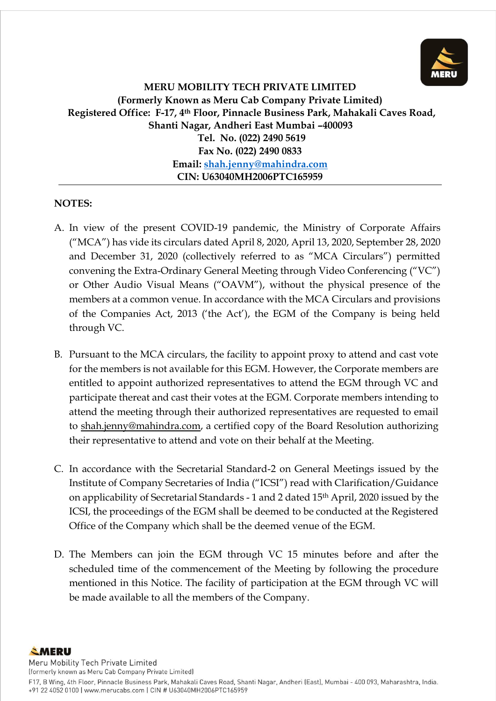

#### **NOTES:**

- A. In view of the present COVID-19 pandemic, the Ministry of Corporate Affairs ("MCA") has vide its circulars dated April 8, 2020, April 13, 2020, September 28, 2020 and December 31, 2020 (collectively referred to as "MCA Circulars") permitted convening the Extra-Ordinary General Meeting through Video Conferencing ("VC") or Other Audio Visual Means ("OAVM"), without the physical presence of the members at a common venue. In accordance with the MCA Circulars and provisions of the Companies Act, 2013 ('the Act'), the EGM of the Company is being held through VC.
- B. Pursuant to the MCA circulars, the facility to appoint proxy to attend and cast vote for the members is not available for this EGM. However, the Corporate members are entitled to appoint authorized representatives to attend the EGM through VC and participate thereat and cast their votes at the EGM. Corporate members intending to attend the meeting through their authorized representatives are requested to email to shah.jenny@mahindra.com, a certified copy of the Board Resolution authorizing their representative to attend and vote on their behalf at the Meeting.
- C. In accordance with the Secretarial Standard-2 on General Meetings issued by the Institute of Company Secretaries of India ("ICSI") read with Clarification/Guidance on applicability of Secretarial Standards - 1 and 2 dated 15th April, 2020 issued by the ICSI, the proceedings of the EGM shall be deemed to be conducted at the Registered Office of the Company which shall be the deemed venue of the EGM.
- D. The Members can join the EGM through VC 15 minutes before and after the scheduled time of the commencement of the Meeting by following the procedure mentioned in this Notice. The facility of participation at the EGM through VC will be made available to all the members of the Company.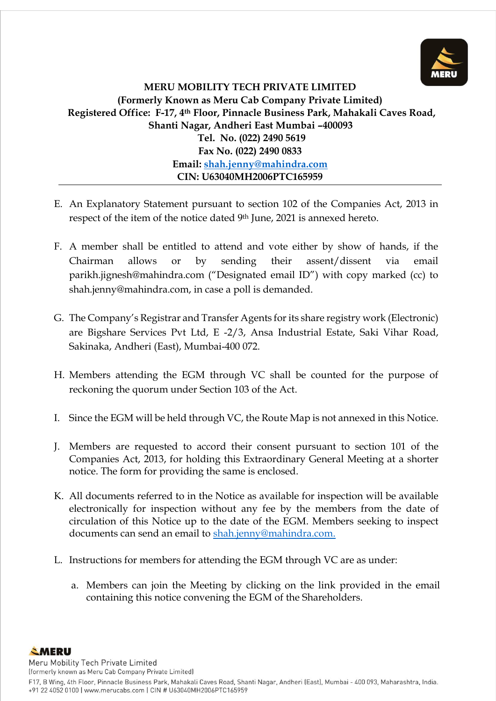

- E. An Explanatory Statement pursuant to section 102 of the Companies Act, 2013 in respect of the item of the notice dated 9th June, 2021 is annexed hereto.
- F. A member shall be entitled to attend and vote either by show of hands, if the Chairman allows or by sending their assent/dissent via email parikh.jignesh@mahindra.com ("Designated email ID") with copy marked (cc) to shah.jenny@mahindra.com, in case a poll is demanded.
- G. The Company's Registrar and Transfer Agents for its share registry work (Electronic) are Bigshare Services Pvt Ltd, E -2/3, Ansa Industrial Estate, Saki Vihar Road, Sakinaka, Andheri (East), Mumbai-400 072.
- H. Members attending the EGM through VC shall be counted for the purpose of reckoning the quorum under Section 103 of the Act.
- I. Since the EGM will be held through VC, the Route Map is not annexed in this Notice.
- J. Members are requested to accord their consent pursuant to section 101 of the Companies Act, 2013, for holding this Extraordinary General Meeting at a shorter notice. The form for providing the same is enclosed.
- K. All documents referred to in the Notice as available for inspection will be available electronically for inspection without any fee by the members from the date of circulation of this Notice up to the date of the EGM. Members seeking to inspect documents can send an email to [shah.jenny@mahindra.com.](mailto:shah.jenny@mahindra.com)
- L. Instructions for members for attending the EGM through VC are as under:
	- a. Members can join the Meeting by clicking on the link provided in the email containing this notice convening the EGM of the Shareholders.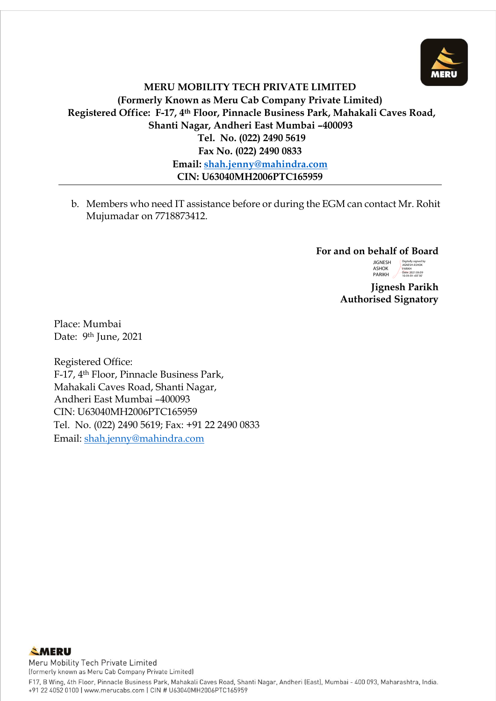

b. Members who need IT assistance before or during the EGM can contact Mr. Rohit Mujumadar on 7718873412.

**For and on behalf of Board**

JIGNESH ASHOK PARIKH Digitally signed by JIGNESH ASHOK PARIKH Date: 2021.06.09 10:39:39 +05'30'

**Jignesh Parikh Authorised Signatory**

Place: Mumbai Date: 9th June, 2021

Registered Office: F-17, 4th Floor, Pinnacle Business Park, Mahakali Caves Road, Shanti Nagar, Andheri East Mumbai –400093 CIN: U63040MH2006PTC165959 Tel. No. (022) 2490 5619; Fax: +91 22 2490 0833 Email: [shah.jenny@mahindra.com](mailto:shah.jenny@mahindra.com)

**AMERU** Meru Mobility Tech Private Limited

(formerly known as Meru Cab Company Private Limited)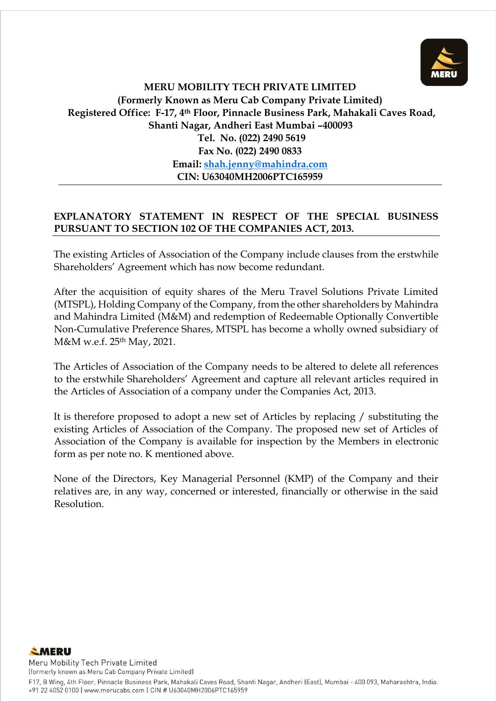

# **EXPLANATORY STATEMENT IN RESPECT OF THE SPECIAL BUSINESS PURSUANT TO SECTION 102 OF THE COMPANIES ACT, 2013.**

The existing Articles of Association of the Company include clauses from the erstwhile Shareholders' Agreement which has now become redundant.

After the acquisition of equity shares of the Meru Travel Solutions Private Limited (MTSPL), Holding Company of the Company, from the other shareholders by Mahindra and Mahindra Limited (M&M) and redemption of Redeemable Optionally Convertible Non-Cumulative Preference Shares, MTSPL has become a wholly owned subsidiary of M&M w.e.f. 25th May, 2021.

The Articles of Association of the Company needs to be altered to delete all references to the erstwhile Shareholders' Agreement and capture all relevant articles required in the Articles of Association of a company under the Companies Act, 2013.

It is therefore proposed to adopt a new set of Articles by replacing / substituting the existing Articles of Association of the Company. The proposed new set of Articles of Association of the Company is available for inspection by the Members in electronic form as per note no. K mentioned above.

None of the Directors, Key Managerial Personnel (KMP) of the Company and their relatives are, in any way, concerned or interested, financially or otherwise in the said Resolution.

**SMERU** Meru Mobility Tech Private Limited

(formerly known as Meru Cab Company Private Limited)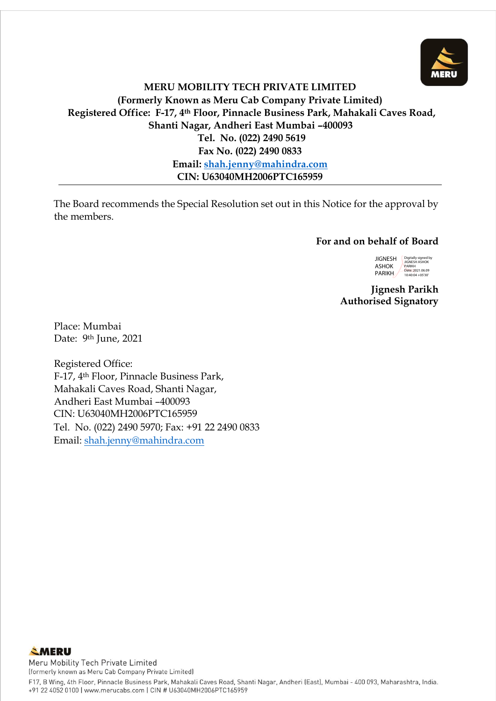

The Board recommends the Special Resolution set out in this Notice for the approval by the members.

#### **For and on behalf of Board**

JIGNESH ASHOK PARIKH Digitally signed by JIGNESH ASHOK PARIKH Date: 2021.06.09 10:40:04 +05'30'

**Jignesh Parikh Authorised Signatory**

Place: Mumbai Date: 9<sup>th</sup> June, 2021

Registered Office: F-17, 4th Floor, Pinnacle Business Park, Mahakali Caves Road, Shanti Nagar, Andheri East Mumbai –400093 CIN: U63040MH2006PTC165959 Tel. No. (022) 2490 5970; Fax: +91 22 2490 0833 Email: [shah.jenny@mahindra.com](mailto:shah.jenny@mahindra.com)

**AMERU** Meru Mobility Tech Private Limited (formerly known as Meru Cab Company Private Limited)